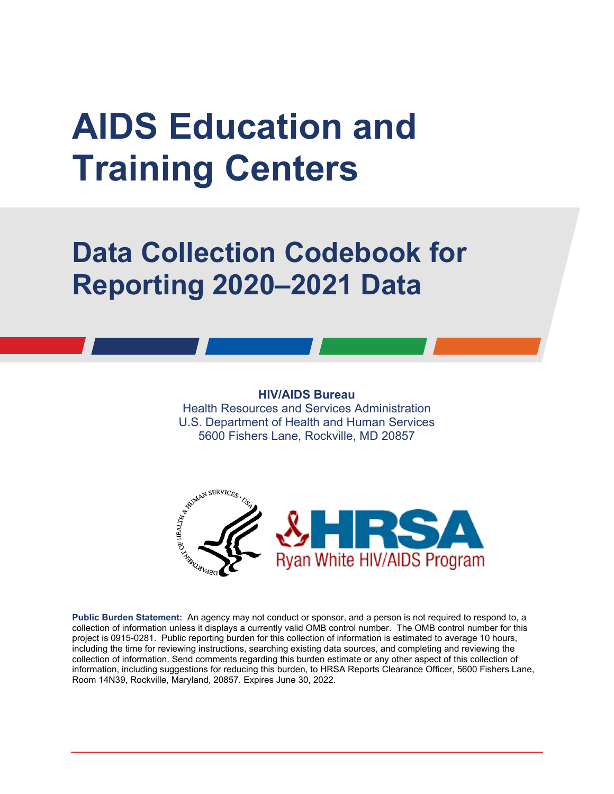# **AIDS Education and Training Centers**

## **Data Collection Codebook for Reporting 2020–2021 Data**

#### **HIV/AIDS Bureau**

Health Resources and Services Administration U.S. Department of Health and Human Services 5600 Fishers Lane, Rockville, MD 20857



**Public Burden Statement:** An agency may not conduct or sponsor, and a person is not required to respond to, a collection of information unless it displays a currently valid OMB control number. The OMB control number for this project is 0915-0281. Public reporting burden for this collection of information is estimated to average 10 hours, including the time for reviewing instructions, searching existing data sources, and completing and reviewing the collection of information. Send comments regarding this burden estimate or any other aspect of this collection of information, including suggestions for reducing this burden, to HRSA Reports Clearance Officer, 5600 Fishers Lane, Room 14N39, Rockville, Maryland, 20857. Expires June 30, 2022.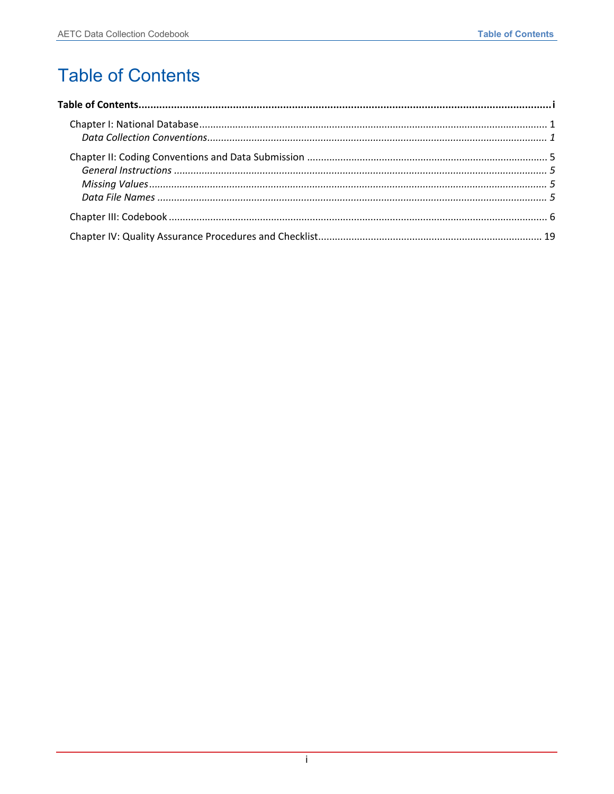### <span id="page-1-0"></span>**Table of Contents**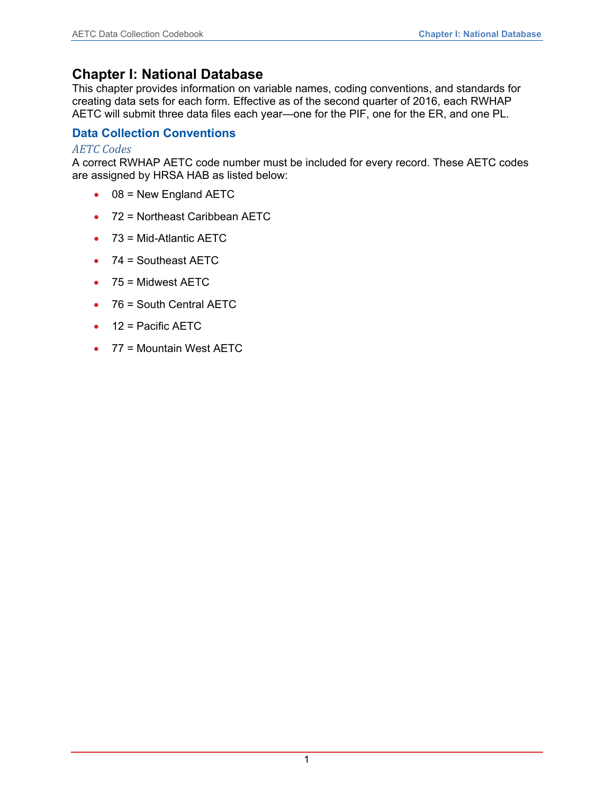#### <span id="page-2-0"></span>**Chapter I: National Database**

This chapter provides information on variable names, coding conventions, and standards for creating data sets for each form. Effective as of the second quarter of 2016, each RWHAP AETC will submit three data files each year—one for the PIF, one for the ER, and one PL.

#### <span id="page-2-1"></span>**Data Collection Conventions**

#### *AETC Codes*

A correct RWHAP AETC code number must be included for every record. These AETC codes are assigned by HRSA HAB as listed below:

- $\bullet$  08 = New England AETC
- 72 = Northeast Caribbean AETC
- 73 = Mid-Atlantic AETC
- 74 = Southeast AETC
- 75 = Midwest AETC
- 76 = South Central AETC
- 12 = Pacific AETC
- 77 = Mountain West AETC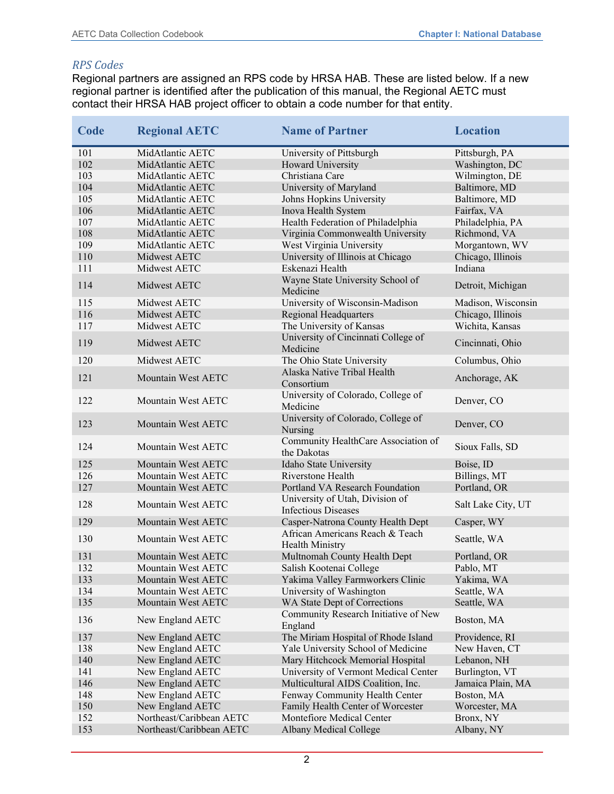#### *RPS Codes*

Regional partners are assigned an RPS code by HRSA HAB. These are listed below. If a new regional partner is identified after the publication of this manual, the Regional AETC must contact their HRSA HAB project officer to obtain a code number for that entity.

| Code | <b>Regional AETC</b>     | <b>Name of Partner</b>                                        | <b>Location</b>    |
|------|--------------------------|---------------------------------------------------------------|--------------------|
| 101  | MidAtlantic AETC         | University of Pittsburgh                                      | Pittsburgh, PA     |
| 102  | MidAtlantic AETC         | Howard University                                             | Washington, DC     |
| 103  | MidAtlantic AETC         | Christiana Care                                               | Wilmington, DE     |
| 104  | MidAtlantic AETC         | University of Maryland                                        | Baltimore, MD      |
| 105  | MidAtlantic AETC         | Johns Hopkins University                                      | Baltimore, MD      |
| 106  | MidAtlantic AETC         | Inova Health System                                           | Fairfax, VA        |
| 107  | MidAtlantic AETC         | Health Federation of Philadelphia                             | Philadelphia, PA   |
| 108  | MidAtlantic AETC         | Virginia Commonwealth University                              | Richmond, VA       |
| 109  | MidAtlantic AETC         | West Virginia University                                      | Morgantown, WV     |
| 110  | Midwest AETC             | University of Illinois at Chicago                             | Chicago, Illinois  |
| 111  | Midwest AETC             | Eskenazi Health                                               | Indiana            |
| 114  | Midwest AETC             | Wayne State University School of<br>Medicine                  | Detroit, Michigan  |
| 115  | Midwest AETC             | University of Wisconsin-Madison                               | Madison, Wisconsin |
| 116  | Midwest AETC             | Regional Headquarters                                         | Chicago, Illinois  |
| 117  | Midwest AETC             | The University of Kansas                                      | Wichita, Kansas    |
| 119  | Midwest AETC             | University of Cincinnati College of<br>Medicine               | Cincinnati, Ohio   |
| 120  | Midwest AETC             | The Ohio State University                                     | Columbus, Ohio     |
| 121  | Mountain West AETC       | Alaska Native Tribal Health<br>Consortium                     | Anchorage, AK      |
| 122  | Mountain West AETC       | University of Colorado, College of<br>Medicine                | Denver, CO         |
| 123  | Mountain West AETC       | University of Colorado, College of<br>Nursing                 | Denver, CO         |
| 124  | Mountain West AETC       | Community HealthCare Association of<br>the Dakotas            | Sioux Falls, SD    |
| 125  | Mountain West AETC       | Idaho State University                                        | Boise, ID          |
| 126  | Mountain West AETC       | Riverstone Health                                             | Billings, MT       |
| 127  | Mountain West AETC       | Portland VA Research Foundation                               | Portland, OR       |
| 128  | Mountain West AETC       | University of Utah, Division of<br><b>Infectious Diseases</b> | Salt Lake City, UT |
| 129  | Mountain West AETC       | Casper-Natrona County Health Dept                             | Casper, WY         |
| 130  | Mountain West AETC       | African Americans Reach & Teach<br><b>Health Ministry</b>     | Seattle, WA        |
| 131  | Mountain West AETC       | Multnomah County Health Dept                                  | Portland, OR       |
| 132  | Mountain West AETC       | Salish Kootenai College                                       | Pablo, MT          |
| 133  | Mountain West AETC       | Yakima Valley Farmworkers Clinic                              | Yakima, WA         |
| 134  | Mountain West AETC       | University of Washington                                      | Seattle, WA        |
| 135  | Mountain West AETC       | WA State Dept of Corrections                                  | Seattle, WA        |
| 136  | New England AETC         | Community Research Initiative of New<br>England               | Boston, MA         |
| 137  | New England AETC         | The Miriam Hospital of Rhode Island                           | Providence, RI     |
| 138  | New England AETC         | Yale University School of Medicine                            | New Haven, CT      |
| 140  | New England AETC         | Mary Hitchcock Memorial Hospital                              | Lebanon, NH        |
| 141  | New England AETC         | University of Vermont Medical Center                          | Burlington, VT     |
| 146  | New England AETC         | Multicultural AIDS Coalition, Inc.                            | Jamaica Plain, MA  |
| 148  | New England AETC         | Fenway Community Health Center                                | Boston, MA         |
| 150  | New England AETC         | Family Health Center of Worcester                             | Worcester, MA      |
| 152  | Northeast/Caribbean AETC | Montefiore Medical Center                                     | Bronx, NY          |
| 153  | Northeast/Caribbean AETC | Albany Medical College                                        | Albany, NY         |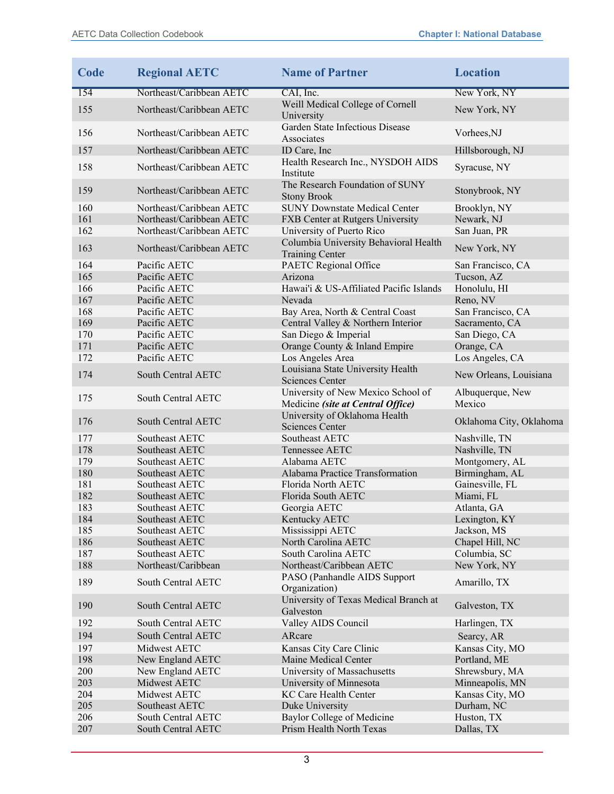| Code       | <b>Regional AETC</b>                  | <b>Name of Partner</b>                                                  | <b>Location</b>              |
|------------|---------------------------------------|-------------------------------------------------------------------------|------------------------------|
| 154        | Northeast/Caribbean AETC              | CAI, Inc.                                                               | New York, NY                 |
| 155        | Northeast/Caribbean AETC              | Weill Medical College of Cornell<br>University                          | New York, NY                 |
| 156        | Northeast/Caribbean AETC              | Garden State Infectious Disease<br>Associates                           | Vorhees,NJ                   |
| 157        | Northeast/Caribbean AETC              | ID Care, Inc                                                            | Hillsborough, NJ             |
| 158        | Northeast/Caribbean AETC              | Health Research Inc., NYSDOH AIDS<br>Institute                          | Syracuse, NY                 |
| 159        | Northeast/Caribbean AETC              | The Research Foundation of SUNY<br><b>Stony Brook</b>                   | Stonybrook, NY               |
| 160        | Northeast/Caribbean AETC              | <b>SUNY Downstate Medical Center</b>                                    | Brooklyn, NY                 |
| 161        | Northeast/Caribbean AETC              | FXB Center at Rutgers University                                        | Newark, NJ                   |
| 162        | Northeast/Caribbean AETC              | University of Puerto Rico                                               | San Juan, PR                 |
| 163        | Northeast/Caribbean AETC              | Columbia University Behavioral Health<br><b>Training Center</b>         | New York, NY                 |
| 164        | Pacific AETC                          | PAETC Regional Office                                                   | San Francisco, CA            |
| 165        | Pacific AETC                          | Arizona                                                                 | Tucson, AZ                   |
| 166        | Pacific AETC                          | Hawai'i & US-Affiliated Pacific Islands                                 | Honolulu, HI                 |
| 167        | Pacific AETC                          | Nevada                                                                  | Reno, NV                     |
| 168        | Pacific AETC                          | Bay Area, North & Central Coast                                         | San Francisco, CA            |
| 169        | Pacific AETC                          | Central Valley & Northern Interior                                      | Sacramento, CA               |
| 170        | Pacific AETC                          | San Diego & Imperial                                                    | San Diego, CA                |
| 171        | Pacific AETC                          | Orange County & Inland Empire                                           | Orange, CA                   |
| 172        | Pacific AETC                          | Los Angeles Area                                                        | Los Angeles, CA              |
| 174        | South Central AETC                    | Louisiana State University Health<br><b>Sciences Center</b>             | New Orleans, Louisiana       |
| 175        | South Central AETC                    | University of New Mexico School of<br>Medicine (site at Central Office) | Albuquerque, New<br>Mexico   |
| 176        | South Central AETC                    | University of Oklahoma Health<br><b>Sciences Center</b>                 | Oklahoma City, Oklahoma      |
| 177        | Southeast AETC                        | Southeast AETC                                                          | Nashville, TN                |
| 178        | Southeast AETC                        | Tennessee AETC                                                          | Nashville, TN                |
| 179        | Southeast AETC                        | Alabama AETC                                                            | Montgomery, AL               |
| 180        | Southeast AETC                        | Alabama Practice Transformation                                         | Birmingham, AL               |
| 181        | Southeast AETC                        | Florida North AETC                                                      | Gainesville, FL              |
| 182        | Southeast AETC                        | Florida South AETC                                                      | Miami, FL                    |
| 183        | Southeast AETC                        | Georgia AETC                                                            | Atlanta, GA                  |
| 184        | Southeast AETC                        | Kentucky AETC                                                           | Lexington, KY                |
| 185        | Southeast AETC                        | Mississippi AETC                                                        | Jackson, MS                  |
| 186        | Southeast AETC                        | North Carolina AETC                                                     | Chapel Hill, NC              |
| 187<br>188 | Southeast AETC<br>Northeast/Caribbean | South Carolina AETC<br>Northeast/Caribbean AETC                         | Columbia, SC                 |
| 189        | South Central AETC                    | PASO (Panhandle AIDS Support<br>Organization)                           | New York, NY<br>Amarillo, TX |
| 190        | South Central AETC                    | University of Texas Medical Branch at<br>Galveston                      | Galveston, TX                |
| 192        | South Central AETC                    | Valley AIDS Council                                                     | Harlingen, TX                |
| 194        | South Central AETC                    | ARcare                                                                  | Searcy, AR                   |
| 197        | Midwest AETC                          | Kansas City Care Clinic                                                 | Kansas City, MO              |
| 198        | New England AETC                      | Maine Medical Center                                                    | Portland, ME                 |
| 200        | New England AETC                      | University of Massachusetts                                             | Shrewsbury, MA               |
| 203        | Midwest AETC                          | University of Minnesota                                                 | Minneapolis, MN              |
| 204        | Midwest AETC                          | KC Care Health Center                                                   | Kansas City, MO              |
| 205        | Southeast AETC                        | Duke University                                                         | Durham, NC                   |
| 206        | South Central AETC                    | Baylor College of Medicine                                              | Huston, TX                   |
| 207        | South Central AETC                    | Prism Health North Texas                                                | Dallas, TX                   |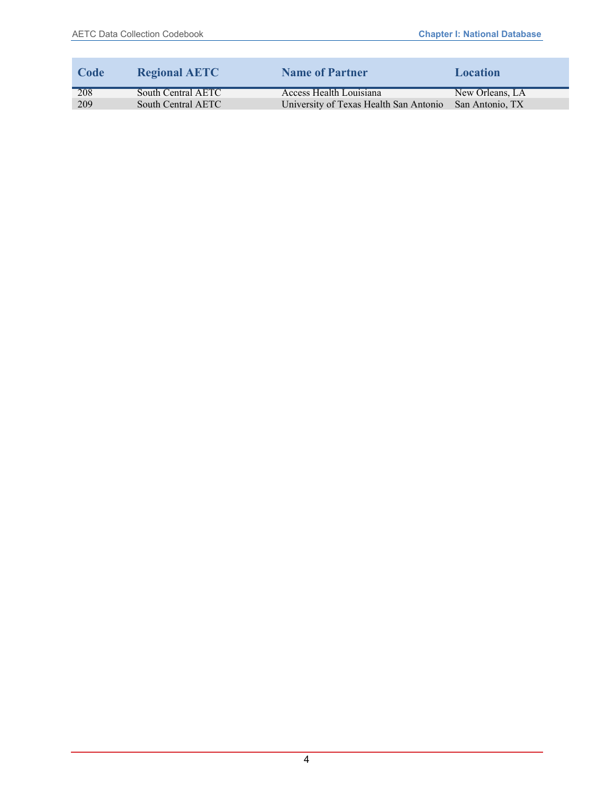| Code | <b>Regional AETC</b> | <b>Name of Partner</b>                 | Location        |
|------|----------------------|----------------------------------------|-----------------|
| 208  | South Central AETC   | Access Health Louisiana                | New Orleans, LA |
| 209  | South Central AETC   | University of Texas Health San Antonio | San Antonio, TX |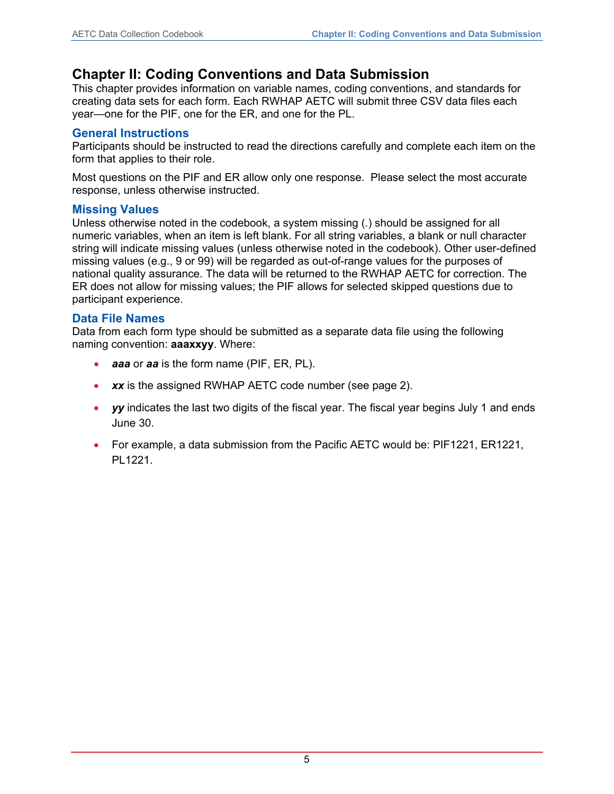#### <span id="page-6-0"></span>**Chapter II: Coding Conventions and Data Submission**

This chapter provides information on variable names, coding conventions, and standards for creating data sets for each form. Each RWHAP AETC will submit three CSV data files each year—one for the PIF, one for the ER, and one for the PL.

#### <span id="page-6-1"></span>**General Instructions**

Participants should be instructed to read the directions carefully and complete each item on the form that applies to their role.

Most questions on the PIF and ER allow only one response. Please select the most accurate response, unless otherwise instructed.

#### <span id="page-6-2"></span>**Missing Values**

Unless otherwise noted in the codebook, a system missing (.) should be assigned for all numeric variables, when an item is left blank. For all string variables, a blank or null character string will indicate missing values (unless otherwise noted in the codebook). Other user-defined missing values (e.g., 9 or 99) will be regarded as out-of-range values for the purposes of national quality assurance. The data will be returned to the RWHAP AETC for correction. The ER does not allow for missing values; the PIF allows for selected skipped questions due to participant experience.

#### <span id="page-6-3"></span>**Data File Names**

Data from each form type should be submitted as a separate data file using the following naming convention: **aaaxxyy**. Where:

- *aaa* or *aa* is the form name (PIF, ER, PL).
- xx is the assigned RWHAP AETC code number (see page 2).
- **yy** indicates the last two digits of the fiscal year. The fiscal year begins July 1 and ends June 30.
- For example, a data submission from the Pacific AETC would be: PIF1221, ER1221, PL1221.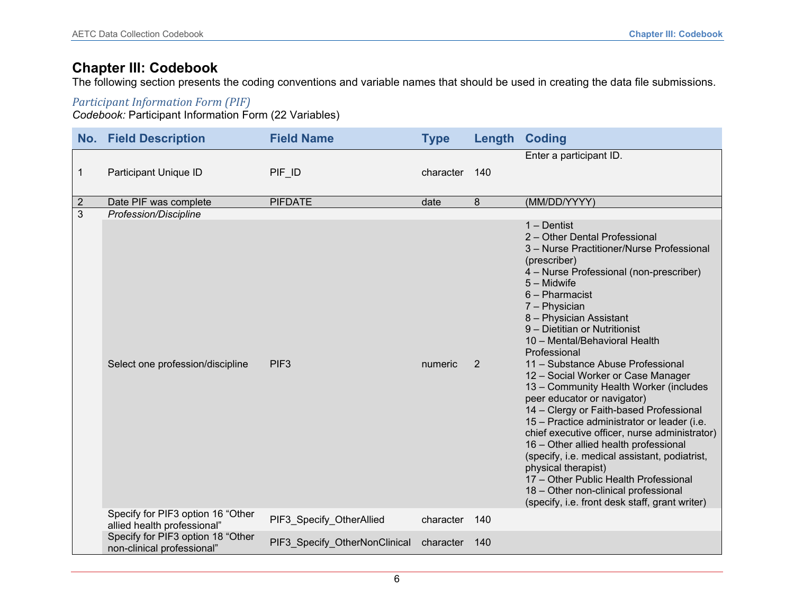#### **Chapter III: Codebook**

The following section presents the coding conventions and variable names that should be used in creating the data file submissions.

#### *Participant Information Form (PIF)*

*Codebook:* Participant Information Form (22 Variables)

<span id="page-7-0"></span>

| <b>No. Field Description</b><br><b>Field Name</b> |                                                                  | <b>Type</b>                   |           | <b>Length Coding</b> |                                                                                                                                                                                                                                                                                                                                                                                                                                                                                                                                                                                                                                                                                                                                                                                                                                                                          |
|---------------------------------------------------|------------------------------------------------------------------|-------------------------------|-----------|----------------------|--------------------------------------------------------------------------------------------------------------------------------------------------------------------------------------------------------------------------------------------------------------------------------------------------------------------------------------------------------------------------------------------------------------------------------------------------------------------------------------------------------------------------------------------------------------------------------------------------------------------------------------------------------------------------------------------------------------------------------------------------------------------------------------------------------------------------------------------------------------------------|
| 1                                                 | Participant Unique ID                                            | PIF ID<br>character           |           | 140                  | Enter a participant ID.                                                                                                                                                                                                                                                                                                                                                                                                                                                                                                                                                                                                                                                                                                                                                                                                                                                  |
| $\overline{2}$                                    | Date PIF was complete                                            | <b>PIFDATE</b>                | date      | 8                    | (MM/DD/YYYY)                                                                                                                                                                                                                                                                                                                                                                                                                                                                                                                                                                                                                                                                                                                                                                                                                                                             |
| 3                                                 | Profession/Discipline                                            |                               |           |                      |                                                                                                                                                                                                                                                                                                                                                                                                                                                                                                                                                                                                                                                                                                                                                                                                                                                                          |
|                                                   | Select one profession/discipline                                 | PIF <sub>3</sub>              | numeric   | 2                    | $1 -$ Dentist<br>2 - Other Dental Professional<br>3 - Nurse Practitioner/Nurse Professional<br>(prescriber)<br>4 – Nurse Professional (non-prescriber)<br>5 - Midwife<br>6 - Pharmacist<br>7 - Physician<br>8 - Physician Assistant<br>9 - Dietitian or Nutritionist<br>10 - Mental/Behavioral Health<br>Professional<br>11 - Substance Abuse Professional<br>12 - Social Worker or Case Manager<br>13 - Community Health Worker (includes<br>peer educator or navigator)<br>14 - Clergy or Faith-based Professional<br>15 - Practice administrator or leader (i.e.<br>chief executive officer, nurse administrator)<br>16 - Other allied health professional<br>(specify, i.e. medical assistant, podiatrist,<br>physical therapist)<br>17 - Other Public Health Professional<br>18 - Other non-clinical professional<br>(specify, i.e. front desk staff, grant writer) |
|                                                   | Specify for PIF3 option 16 "Other<br>allied health professional" | PIF3 Specify OtherAllied      | character | 140                  |                                                                                                                                                                                                                                                                                                                                                                                                                                                                                                                                                                                                                                                                                                                                                                                                                                                                          |
|                                                   | Specify for PIF3 option 18 "Other<br>non-clinical professional"  | PIF3_Specify_OtherNonClinical | character | 140                  |                                                                                                                                                                                                                                                                                                                                                                                                                                                                                                                                                                                                                                                                                                                                                                                                                                                                          |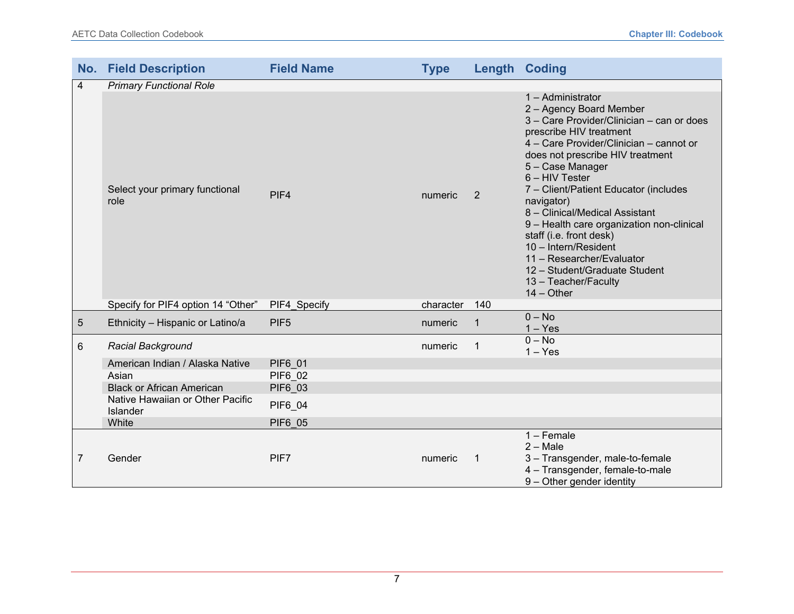|                | <b>No. Field Description</b>                 | <b>Field Name</b> | <b>Type</b> |              | <b>Length Coding</b>                                                                                                                                                                                                                                                                                                                                                                                                                                                                                                                     |
|----------------|----------------------------------------------|-------------------|-------------|--------------|------------------------------------------------------------------------------------------------------------------------------------------------------------------------------------------------------------------------------------------------------------------------------------------------------------------------------------------------------------------------------------------------------------------------------------------------------------------------------------------------------------------------------------------|
| $\overline{4}$ | <b>Primary Functional Role</b>               |                   |             |              |                                                                                                                                                                                                                                                                                                                                                                                                                                                                                                                                          |
|                | Select your primary functional<br>role       | PIF4              | numeric     | 2            | 1 - Administrator<br>2 - Agency Board Member<br>3 - Care Provider/Clinician - can or does<br>prescribe HIV treatment<br>4 - Care Provider/Clinician - cannot or<br>does not prescribe HIV treatment<br>5 - Case Manager<br>6 - HIV Tester<br>7 - Client/Patient Educator (includes<br>navigator)<br>8 - Clinical/Medical Assistant<br>9 - Health care organization non-clinical<br>staff (i.e. front desk)<br>10 - Intern/Resident<br>11 - Researcher/Evaluator<br>12 - Student/Graduate Student<br>13 - Teacher/Faculty<br>$14 - Other$ |
|                | Specify for PIF4 option 14 "Other"           | PIF4_Specify      | character   | 140          |                                                                                                                                                                                                                                                                                                                                                                                                                                                                                                                                          |
| $\sqrt{5}$     | Ethnicity - Hispanic or Latino/a             | PIF <sub>5</sub>  | numeric     | 1            | $0 - No$<br>$1 - Yes$                                                                                                                                                                                                                                                                                                                                                                                                                                                                                                                    |
| $6\phantom{1}$ | Racial Background                            |                   | numeric     | 1            | $0 - No$<br>$1 - Yes$                                                                                                                                                                                                                                                                                                                                                                                                                                                                                                                    |
|                | American Indian / Alaska Native              | <b>PIF6 01</b>    |             |              |                                                                                                                                                                                                                                                                                                                                                                                                                                                                                                                                          |
|                | Asian                                        | <b>PIF6 02</b>    |             |              |                                                                                                                                                                                                                                                                                                                                                                                                                                                                                                                                          |
|                | <b>Black or African American</b>             | <b>PIF6 03</b>    |             |              |                                                                                                                                                                                                                                                                                                                                                                                                                                                                                                                                          |
|                | Native Hawaiian or Other Pacific<br>Islander | <b>PIF6 04</b>    |             |              |                                                                                                                                                                                                                                                                                                                                                                                                                                                                                                                                          |
|                | White                                        | <b>PIF6 05</b>    |             |              |                                                                                                                                                                                                                                                                                                                                                                                                                                                                                                                                          |
| 7              | Gender                                       | PIF7              | numeric     | $\mathbf{1}$ | 1 - Female<br>$2 - Male$<br>3 - Transgender, male-to-female<br>4 - Transgender, female-to-male<br>9 - Other gender identity                                                                                                                                                                                                                                                                                                                                                                                                              |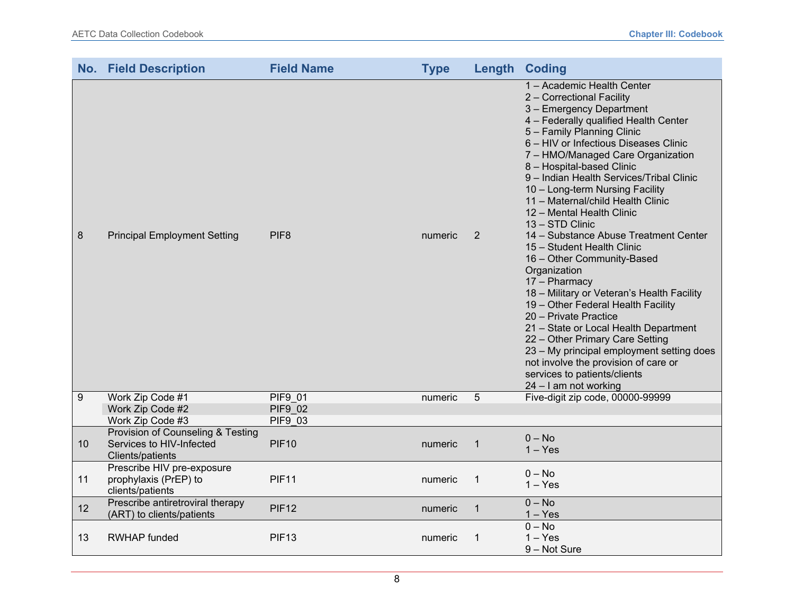|    | <b>No. Field Description</b>                                                      | <b>Field Name</b>                | <b>Type</b> |                | <b>Length Coding</b>                                                                                                                                                                                                                                                                                                                                                                                                                                                                                                                                                                                                                                                                                                                                                                                                                                                                                                   |
|----|-----------------------------------------------------------------------------------|----------------------------------|-------------|----------------|------------------------------------------------------------------------------------------------------------------------------------------------------------------------------------------------------------------------------------------------------------------------------------------------------------------------------------------------------------------------------------------------------------------------------------------------------------------------------------------------------------------------------------------------------------------------------------------------------------------------------------------------------------------------------------------------------------------------------------------------------------------------------------------------------------------------------------------------------------------------------------------------------------------------|
| 8  | <b>Principal Employment Setting</b>                                               | PIF <sub>8</sub>                 | numeric     | 2              | 1 - Academic Health Center<br>2 - Correctional Facility<br>3 - Emergency Department<br>4 - Federally qualified Health Center<br>5 - Family Planning Clinic<br>6 - HIV or Infectious Diseases Clinic<br>7 - HMO/Managed Care Organization<br>8 - Hospital-based Clinic<br>9 - Indian Health Services/Tribal Clinic<br>10 - Long-term Nursing Facility<br>11 - Maternal/child Health Clinic<br>12 - Mental Health Clinic<br>13 - STD Clinic<br>14 - Substance Abuse Treatment Center<br>15 - Student Health Clinic<br>16 - Other Community-Based<br>Organization<br>17 - Pharmacy<br>18 - Military or Veteran's Health Facility<br>19 - Other Federal Health Facility<br>20 - Private Practice<br>21 - State or Local Health Department<br>22 - Other Primary Care Setting<br>23 - My principal employment setting does<br>not involve the provision of care or<br>services to patients/clients<br>24 - I am not working |
| 9  | Work Zip Code #1<br>Work Zip Code #2                                              | <b>PIF9 01</b><br><b>PIF9 02</b> | numeric     | $\overline{5}$ | Five-digit zip code, 00000-99999                                                                                                                                                                                                                                                                                                                                                                                                                                                                                                                                                                                                                                                                                                                                                                                                                                                                                       |
|    | Work Zip Code #3                                                                  | <b>PIF9 03</b>                   |             |                |                                                                                                                                                                                                                                                                                                                                                                                                                                                                                                                                                                                                                                                                                                                                                                                                                                                                                                                        |
| 10 | Provision of Counseling & Testing<br>Services to HIV-Infected<br>Clients/patients | <b>PIF10</b>                     | numeric     | 1              | $0 - No$<br>$1 - Yes$                                                                                                                                                                                                                                                                                                                                                                                                                                                                                                                                                                                                                                                                                                                                                                                                                                                                                                  |
| 11 | Prescribe HIV pre-exposure<br>prophylaxis (PrEP) to<br>clients/patients           | <b>PIF11</b>                     | numeric     | 1              | $0 - No$<br>$1 - Yes$                                                                                                                                                                                                                                                                                                                                                                                                                                                                                                                                                                                                                                                                                                                                                                                                                                                                                                  |
| 12 | Prescribe antiretroviral therapy<br>(ART) to clients/patients                     | <b>PIF12</b>                     | numeric     | $\mathbf 1$    | $0 - No$<br>$1 - Yes$                                                                                                                                                                                                                                                                                                                                                                                                                                                                                                                                                                                                                                                                                                                                                                                                                                                                                                  |
| 13 | <b>RWHAP</b> funded                                                               | <b>PIF13</b>                     | numeric     | 1              | $0 - No$<br>$1 - Yes$<br>9 - Not Sure                                                                                                                                                                                                                                                                                                                                                                                                                                                                                                                                                                                                                                                                                                                                                                                                                                                                                  |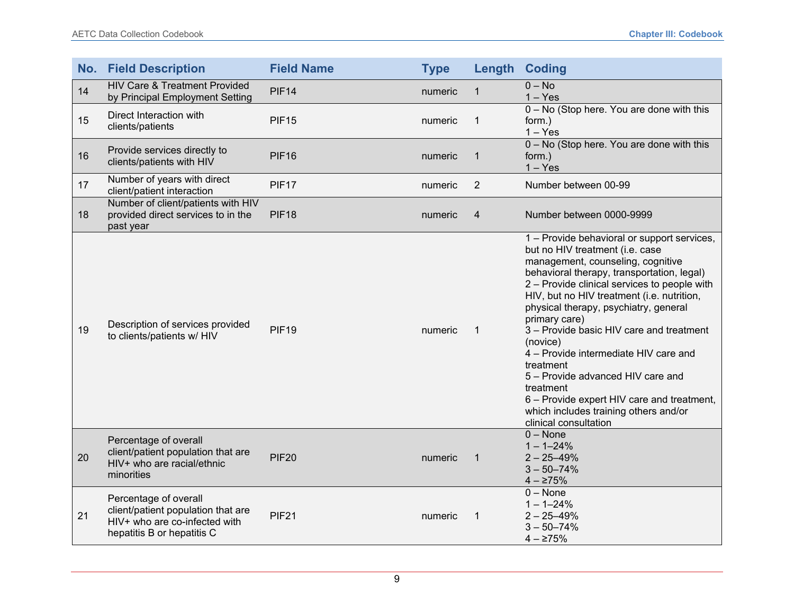| No. | <b>Field Description</b>                                                                                                   | <b>Field Name</b> | <b>Type</b> | Length         | <b>Coding</b>                                                                                                                                                                                                                                                                                                                                                                                                                                                                                                                                                                                             |
|-----|----------------------------------------------------------------------------------------------------------------------------|-------------------|-------------|----------------|-----------------------------------------------------------------------------------------------------------------------------------------------------------------------------------------------------------------------------------------------------------------------------------------------------------------------------------------------------------------------------------------------------------------------------------------------------------------------------------------------------------------------------------------------------------------------------------------------------------|
| 14  | <b>HIV Care &amp; Treatment Provided</b><br>by Principal Employment Setting                                                | <b>PIF14</b>      | numeric     | $\mathbf 1$    | $0 - No$<br>$1 - Yes$                                                                                                                                                                                                                                                                                                                                                                                                                                                                                                                                                                                     |
| 15  | Direct Interaction with<br>clients/patients                                                                                | <b>PIF15</b>      | numeric     | 1              | 0 - No (Stop here. You are done with this<br>form.)<br>$1 - Yes$                                                                                                                                                                                                                                                                                                                                                                                                                                                                                                                                          |
| 16  | Provide services directly to<br>clients/patients with HIV                                                                  | <b>PIF16</b>      | numeric     | 1              | 0 - No (Stop here. You are done with this<br>form.)<br>$1 - Yes$                                                                                                                                                                                                                                                                                                                                                                                                                                                                                                                                          |
| 17  | Number of years with direct<br>client/patient interaction                                                                  | <b>PIF17</b>      | numeric     | $\overline{2}$ | Number between 00-99                                                                                                                                                                                                                                                                                                                                                                                                                                                                                                                                                                                      |
| 18  | Number of client/patients with HIV<br>provided direct services to in the<br>past year                                      | <b>PIF18</b>      | numeric     | 4              | Number between 0000-9999                                                                                                                                                                                                                                                                                                                                                                                                                                                                                                                                                                                  |
| 19  | Description of services provided<br>to clients/patients w/ HIV                                                             | <b>PIF19</b>      | numeric     | $\mathbf 1$    | 1 - Provide behavioral or support services,<br>but no HIV treatment (i.e. case<br>management, counseling, cognitive<br>behavioral therapy, transportation, legal)<br>2 - Provide clinical services to people with<br>HIV, but no HIV treatment (i.e. nutrition,<br>physical therapy, psychiatry, general<br>primary care)<br>3 - Provide basic HIV care and treatment<br>(novice)<br>4 - Provide intermediate HIV care and<br>treatment<br>5 - Provide advanced HIV care and<br>treatment<br>6 – Provide expert HIV care and treatment,<br>which includes training others and/or<br>clinical consultation |
| 20  | Percentage of overall<br>client/patient population that are<br>HIV+ who are racial/ethnic<br>minorities                    | <b>PIF20</b>      | numeric     | $\mathbf 1$    | $0 - None$<br>$1 - 1 - 24%$<br>$2 - 25 - 49%$<br>$3 - 50 - 74%$<br>$4 - \ge 75\%$                                                                                                                                                                                                                                                                                                                                                                                                                                                                                                                         |
| 21  | Percentage of overall<br>client/patient population that are<br>HIV+ who are co-infected with<br>hepatitis B or hepatitis C | <b>PIF21</b>      | numeric     | $\mathbf{1}$   | $0 - None$<br>$1 - 1 - 24%$<br>$2 - 25 - 49%$<br>$3 - 50 - 74%$<br>$4 - \ge 75\%$                                                                                                                                                                                                                                                                                                                                                                                                                                                                                                                         |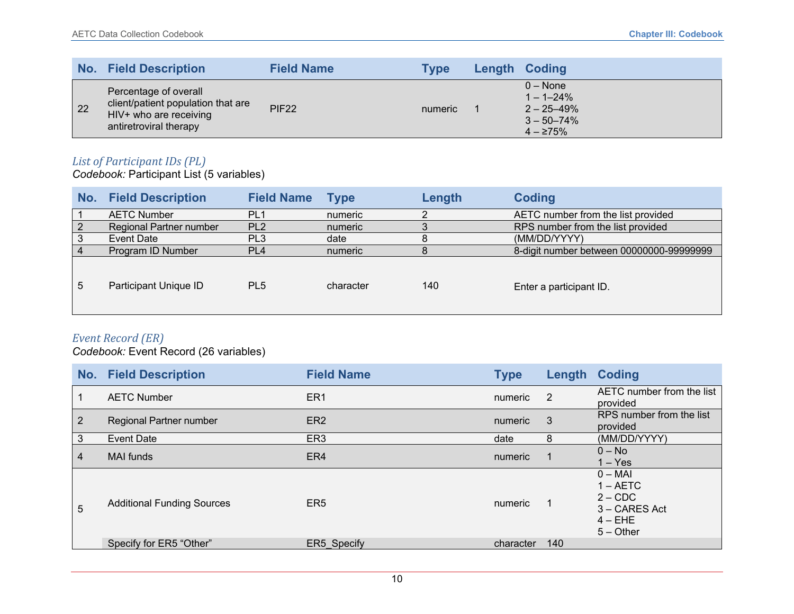|                 | No. Field Description                                                                                           | <b>Field Name</b> | Type    | Length Coding                                                                       |
|-----------------|-----------------------------------------------------------------------------------------------------------------|-------------------|---------|-------------------------------------------------------------------------------------|
| $\overline{22}$ | Percentage of overall<br>client/patient population that are<br>HIV+ who are receiving<br>antiretroviral therapy | <b>PIF22</b>      | numeric | $0 - None$<br>$1 - 1 - 24\%$<br>$2 - 25 - 49%$<br>$3 - 50 - 74\%$<br>$4 - \ge 75\%$ |

#### *List of Participant IDs (PL)*

*Codebook:* Participant List (5 variables)

| No. | <b>Field Description</b> | <b>Field Name</b> | <b>Type</b> | Length | <b>Coding</b>                            |
|-----|--------------------------|-------------------|-------------|--------|------------------------------------------|
|     | <b>AETC Number</b>       | PL <sub>1</sub>   | numeric     |        | AETC number from the list provided       |
|     | Regional Partner number  | PL <sub>2</sub>   | numeric     |        | RPS number from the list provided        |
| 3   | Event Date               | PL <sub>3</sub>   | date        | 8      | (MM/DD/YYYY)                             |
|     | Program ID Number        | PL <sub>4</sub>   | numeric     |        | 8-digit number between 00000000-99999999 |
| 5   | Participant Unique ID    | PL <sub>5</sub>   | character   | 140    | Enter a participant ID.                  |

#### *Event Record (ER)*

*Codebook:* Event Record (26 variables)

|                | <b>No. Field Description</b>      | <b>Field Name</b> | <b>Type</b> |                | Length Coding                                                                     |
|----------------|-----------------------------------|-------------------|-------------|----------------|-----------------------------------------------------------------------------------|
| $\mathbf 1$    | <b>AETC Number</b>                | ER <sub>1</sub>   | numeric     | $\overline{2}$ | AETC number from the list<br>provided                                             |
| $\sqrt{2}$     | Regional Partner number           | ER <sub>2</sub>   | numeric     | -3             | RPS number from the list<br>provided                                              |
| 3              | <b>Event Date</b>                 | ER <sub>3</sub>   | date        | 8              | (MM/DD/YYYY)                                                                      |
| $\overline{4}$ | <b>MAI</b> funds                  | ER4               | numeric     |                | $0 - No$<br>$1 - Yes$                                                             |
| 5              | <b>Additional Funding Sources</b> | ER <sub>5</sub>   | numeric     |                | $0 - MAI$<br>$1 - AETC$<br>$2 - CDC$<br>3 – CARES Act<br>$4 - EHE$<br>$5 -$ Other |
|                | Specify for ER5 "Other"           | ER5 Specify       | character   | 140            |                                                                                   |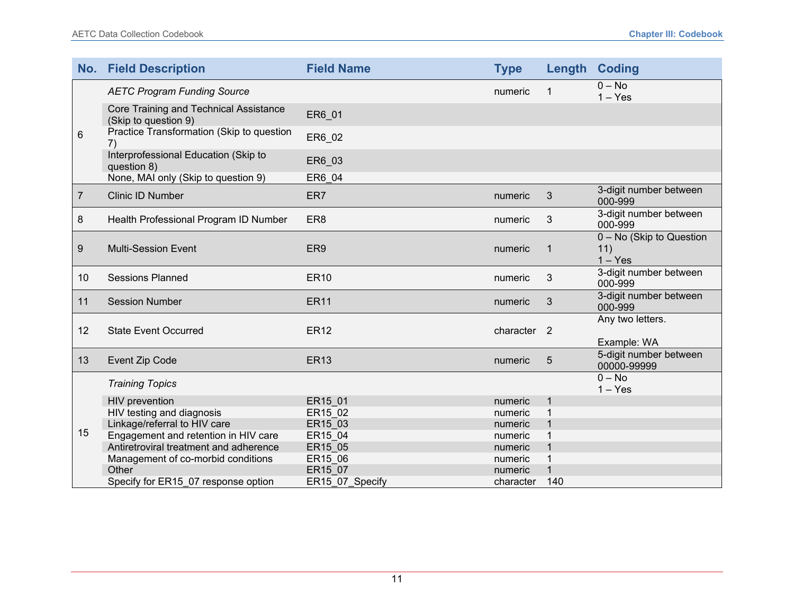|                | <b>No. Field Description</b>                                   | <b>Field Name</b> | <b>Type</b>            |                | <b>Length Coding</b>                         |
|----------------|----------------------------------------------------------------|-------------------|------------------------|----------------|----------------------------------------------|
|                | <b>AETC Program Funding Source</b>                             |                   | numeric                | 1              | $0 - No$<br>$1 - Yes$                        |
|                | Core Training and Technical Assistance<br>(Skip to question 9) | ER6 01            |                        |                |                                              |
| 6              | Practice Transformation (Skip to question<br>7)                | ER6 02            |                        |                |                                              |
|                | Interprofessional Education (Skip to<br>question 8)            | ER6_03            |                        |                |                                              |
|                | None, MAI only (Skip to question 9)                            | ER6_04            |                        |                |                                              |
| $\overline{7}$ | Clinic ID Number                                               | ER7               | numeric                | $\mathfrak{B}$ | 3-digit number between<br>000-999            |
| 8              | Health Professional Program ID Number                          | ER <sub>8</sub>   | numeric                | 3              | 3-digit number between<br>000-999            |
| 9              | <b>Multi-Session Event</b>                                     | ER9               | numeric                | 1              | 0 - No (Skip to Question<br>11)<br>$1 - Yes$ |
| 10             | <b>Sessions Planned</b>                                        | <b>ER10</b>       | numeric                | 3              | 3-digit number between<br>000-999            |
| 11             | <b>Session Number</b>                                          | <b>ER11</b>       | numeric                | 3              | 3-digit number between<br>000-999            |
| 12             | <b>State Event Occurred</b>                                    | <b>ER12</b>       | character <sub>2</sub> |                | Any two letters.<br>Example: WA              |
| 13             | <b>Event Zip Code</b>                                          | <b>ER13</b>       | numeric                | 5              | 5-digit number between<br>00000-99999        |
|                | <b>Training Topics</b>                                         |                   |                        |                | $0 - No$<br>$1 - Yes$                        |
|                | <b>HIV</b> prevention                                          | ER15 01           | numeric                |                |                                              |
|                | HIV testing and diagnosis                                      | ER15 02           | numeric                |                |                                              |
|                | Linkage/referral to HIV care                                   | ER15 03           | numeric                |                |                                              |
| 15             | Engagement and retention in HIV care                           | ER15_04           | numeric                |                |                                              |
|                | Antiretroviral treatment and adherence                         | ER15_05           | numeric                |                |                                              |
|                | Management of co-morbid conditions                             | ER15_06           | numeric                |                |                                              |
|                | Other                                                          | ER15 07           | numeric                |                |                                              |
|                | Specify for ER15 07 response option                            | ER15 07 Specify   | character              | 140            |                                              |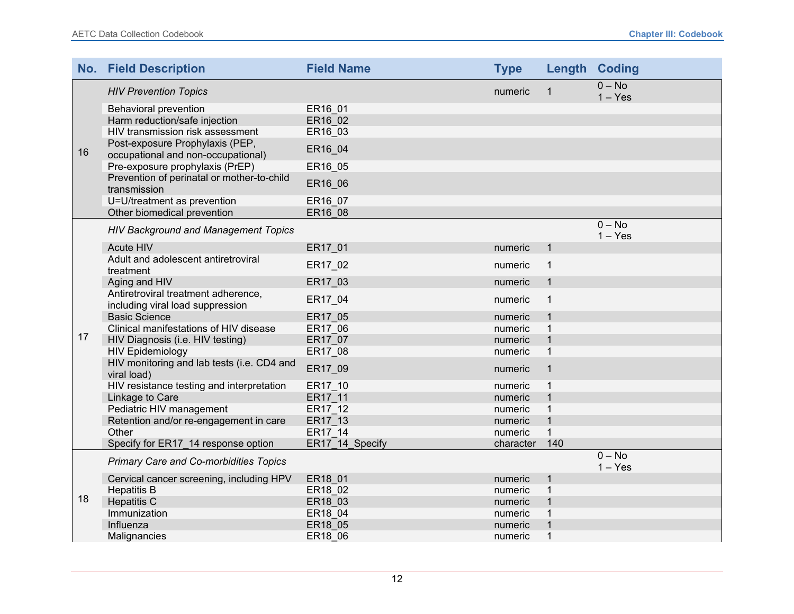|    | <b>No. Field Description</b>                                            | <b>Field Name</b> | <b>Type</b> |              | <b>Length Coding</b>  |
|----|-------------------------------------------------------------------------|-------------------|-------------|--------------|-----------------------|
|    | <b>HIV Prevention Topics</b>                                            |                   | numeric     | $\mathbf{1}$ | $0 - No$<br>$1 - Yes$ |
|    | <b>Behavioral prevention</b>                                            | ER16 01           |             |              |                       |
|    | Harm reduction/safe injection                                           | ER16 02           |             |              |                       |
|    | HIV transmission risk assessment                                        | ER16_03           |             |              |                       |
| 16 | Post-exposure Prophylaxis (PEP,<br>occupational and non-occupational)   | ER16_04           |             |              |                       |
|    | Pre-exposure prophylaxis (PrEP)                                         | ER16_05           |             |              |                       |
|    | Prevention of perinatal or mother-to-child<br>transmission              | ER16_06           |             |              |                       |
|    | U=U/treatment as prevention                                             | ER16_07           |             |              |                       |
|    | Other biomedical prevention                                             | ER16 08           |             |              |                       |
|    | <b>HIV Background and Management Topics</b>                             |                   |             |              | $0 - No$<br>$1 - Yes$ |
|    | Acute HIV                                                               | ER17 01           | numeric     | 1            |                       |
|    | Adult and adolescent antiretroviral<br>treatment                        | ER17_02           | numeric     | $\mathbf{1}$ |                       |
|    | Aging and HIV                                                           | ER17 03           | numeric     | $\mathbf{1}$ |                       |
|    | Antiretroviral treatment adherence,<br>including viral load suppression | ER17_04           | numeric     | 1            |                       |
|    | <b>Basic Science</b>                                                    | ER17 05           | numeric     | $\mathbf 1$  |                       |
|    | Clinical manifestations of HIV disease                                  | ER17 06           | numeric     | $\mathbf{1}$ |                       |
| 17 | HIV Diagnosis (i.e. HIV testing)                                        | ER17 07           | numeric     | $\mathbf{1}$ |                       |
|    | <b>HIV Epidemiology</b>                                                 | ER17_08           | numeric     | $\mathbf{1}$ |                       |
|    | HIV monitoring and lab tests (i.e. CD4 and<br>viral load)               | ER17_09           | numeric     | $\mathbf{1}$ |                       |
|    | HIV resistance testing and interpretation                               | ER17_10           | numeric     | $\mathbf{1}$ |                       |
|    | Linkage to Care                                                         | ER17 11           | numeric     | $\mathbf 1$  |                       |
|    | Pediatric HIV management                                                | ER17 12           | numeric     | 1            |                       |
|    | Retention and/or re-engagement in care                                  | ER17 13           | numeric     | $\mathbf{1}$ |                       |
|    | Other                                                                   | ER17 14           | numeric     | $\mathbf{1}$ |                       |
|    | Specify for ER17 14 response option                                     | ER17 14 Specify   | character   | 140          |                       |
|    | <b>Primary Care and Co-morbidities Topics</b>                           |                   |             |              | $0 - No$<br>$1 - Yes$ |
|    | Cervical cancer screening, including HPV                                | ER18 01           | numeric     | $\mathbf{1}$ |                       |
|    | <b>Hepatitis B</b>                                                      | ER18 02           | numeric     | 1            |                       |
| 18 | <b>Hepatitis C</b>                                                      | ER18 03           | numeric     | $\mathbf{1}$ |                       |
|    | Immunization                                                            | ER18 04           | numeric     | 1            |                       |
|    | Influenza                                                               | ER18 05           | numeric     | 1            |                       |
|    | Malignancies                                                            | ER18 06           | numeric     | 1            |                       |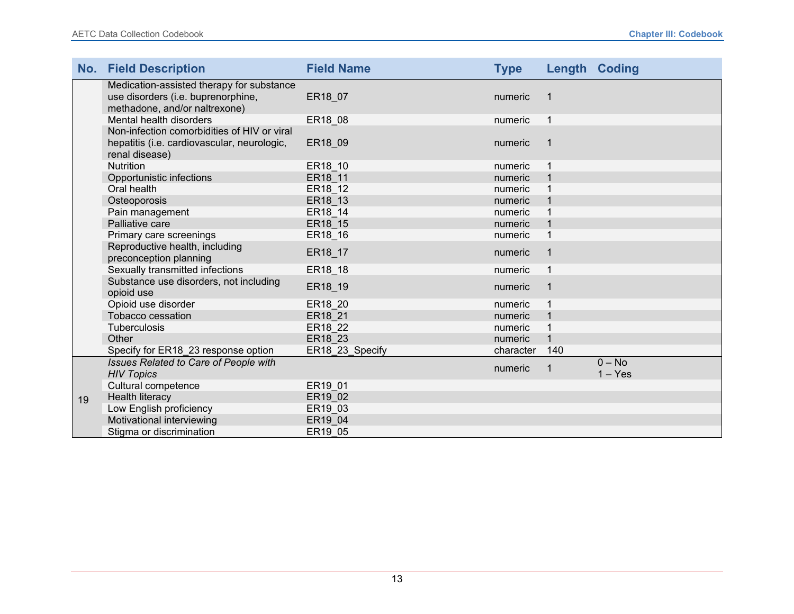|    | <b>No. Field Description</b>                                                                                     | <b>Field Name</b> | <b>Type</b> |              | <b>Length Coding</b>  |
|----|------------------------------------------------------------------------------------------------------------------|-------------------|-------------|--------------|-----------------------|
|    | Medication-assisted therapy for substance<br>use disorders (i.e. buprenorphine,<br>methadone, and/or naltrexone) | ER18_07           | numeric     |              |                       |
|    | Mental health disorders                                                                                          | ER18_08           | numeric     | $\mathbf{1}$ |                       |
|    | Non-infection comorbidities of HIV or viral<br>hepatitis (i.e. cardiovascular, neurologic,<br>renal disease)     | ER18_09           | numeric     |              |                       |
|    | <b>Nutrition</b>                                                                                                 | ER18 10           | numeric     |              |                       |
|    | Opportunistic infections                                                                                         | ER18 11           | numeric     |              |                       |
|    | Oral health                                                                                                      | ER18_12           | numeric     |              |                       |
|    | Osteoporosis                                                                                                     | ER18 13           | numeric     |              |                       |
|    | Pain management                                                                                                  | ER18 14           | numeric     |              |                       |
|    | Palliative care                                                                                                  | ER18_15           | numeric     |              |                       |
|    | Primary care screenings                                                                                          | ER18_16           | numeric     |              |                       |
|    | Reproductive health, including<br>preconception planning                                                         | ER18_17           | numeric     |              |                       |
|    | Sexually transmitted infections                                                                                  | ER18_18           | numeric     |              |                       |
|    | Substance use disorders, not including<br>opioid use                                                             | ER18_19           | numeric     |              |                       |
|    | Opioid use disorder                                                                                              | ER18 20           | numeric     |              |                       |
|    | Tobacco cessation                                                                                                | ER18 21           | numeric     |              |                       |
|    | Tuberculosis                                                                                                     | ER18 22           | numeric     |              |                       |
|    | Other                                                                                                            | ER18 23           | numeric     |              |                       |
|    | Specify for ER18_23 response option                                                                              | ER18_23_Specify   | character   | 140          |                       |
|    | Issues Related to Care of People with<br><b>HIV Topics</b>                                                       |                   | numeric     |              | $0 - No$<br>$1 - Yes$ |
|    | Cultural competence                                                                                              | ER19_01           |             |              |                       |
| 19 | Health literacy                                                                                                  | ER19 02           |             |              |                       |
|    | Low English proficiency                                                                                          | ER19 03           |             |              |                       |
|    | Motivational interviewing                                                                                        | ER19 04           |             |              |                       |
|    | Stigma or discrimination                                                                                         | ER19 05           |             |              |                       |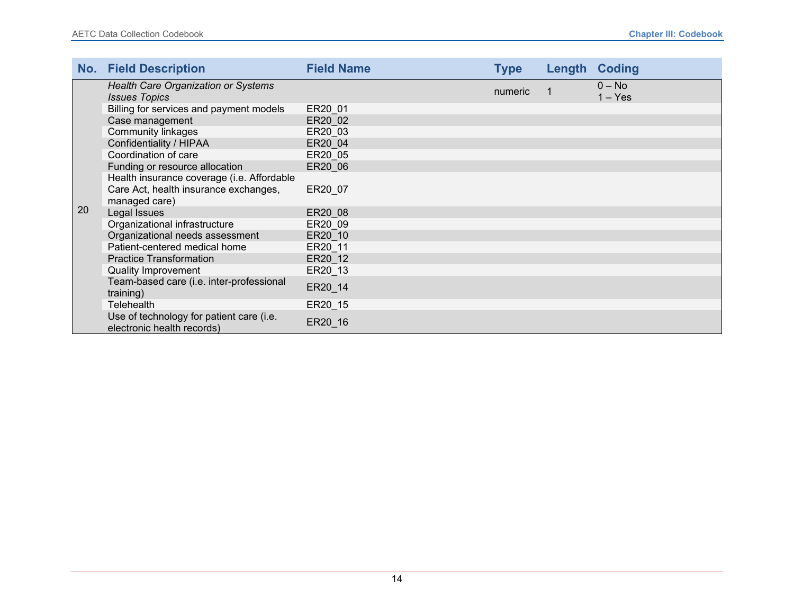|    | <b>No. Field Description</b>                                           | <b>Field Name</b> | <b>Type</b> | Length | <b>Coding</b>         |
|----|------------------------------------------------------------------------|-------------------|-------------|--------|-----------------------|
|    | <b>Health Care Organization or Systems</b><br><b>Issues Topics</b>     |                   | numeric     |        | $0 - No$<br>$1 - Yes$ |
|    | Billing for services and payment models                                | ER20 01           |             |        |                       |
|    | Case management                                                        | ER20 02           |             |        |                       |
|    | <b>Community linkages</b>                                              | ER20 03           |             |        |                       |
|    | Confidentiality / HIPAA                                                | ER20 04           |             |        |                       |
|    | Coordination of care                                                   | ER20 05           |             |        |                       |
|    | Funding or resource allocation                                         | ER20 06           |             |        |                       |
|    | Health insurance coverage (i.e. Affordable                             |                   |             |        |                       |
|    | Care Act, health insurance exchanges,<br>managed care)                 | ER20 07           |             |        |                       |
| 20 | Legal Issues                                                           | ER20 08           |             |        |                       |
|    | Organizational infrastructure                                          | ER20 09           |             |        |                       |
|    | Organizational needs assessment                                        | ER20 10           |             |        |                       |
|    | Patient-centered medical home                                          | ER20 11           |             |        |                       |
|    | <b>Practice Transformation</b>                                         | ER20 12           |             |        |                       |
|    | <b>Quality Improvement</b>                                             | ER20 13           |             |        |                       |
|    | Team-based care (i.e. inter-professional<br>training)                  | ER20_14           |             |        |                       |
|    | Telehealth                                                             | ER20_15           |             |        |                       |
|    | Use of technology for patient care (i.e.<br>electronic health records) | ER20_16           |             |        |                       |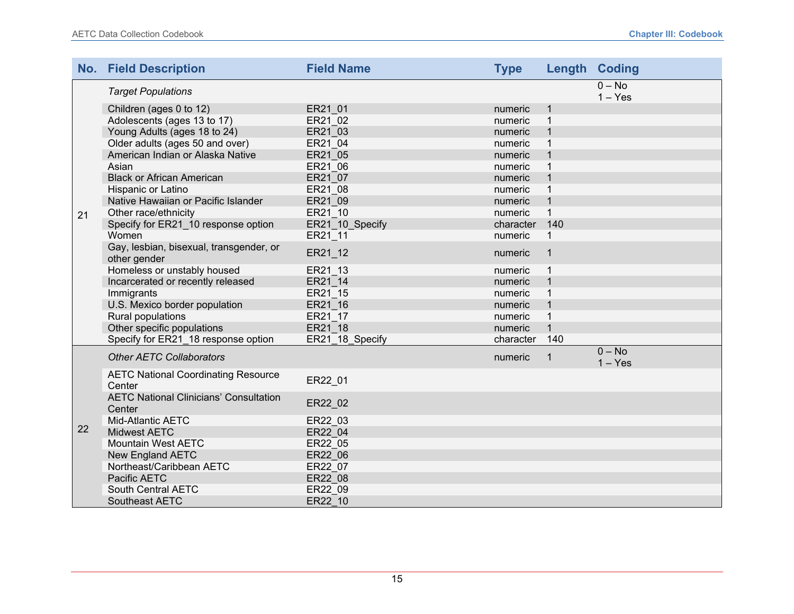|    | <b>No. Field Description</b>                            | <b>Field Name</b> | <b>Type</b> |              | <b>Length Coding</b>  |
|----|---------------------------------------------------------|-------------------|-------------|--------------|-----------------------|
|    | <b>Target Populations</b>                               |                   |             |              | $0 - No$<br>$1 - Yes$ |
|    | Children (ages 0 to 12)                                 | ER21 01           | numeric     | 1            |                       |
|    | Adolescents (ages 13 to 17)                             | ER21 02           | numeric     | 1            |                       |
|    | Young Adults (ages 18 to 24)                            | ER21 03           | numeric     | 1            |                       |
|    | Older adults (ages 50 and over)                         | ER21 04           | numeric     | $\mathbf{1}$ |                       |
|    | American Indian or Alaska Native                        | ER21 05           | numeric     |              |                       |
|    | Asian                                                   | ER21_06           | numeric     | $\mathbf{1}$ |                       |
|    | <b>Black or African American</b>                        | ER21 07           | numeric     |              |                       |
|    | Hispanic or Latino                                      | ER21 08           | numeric     | $\mathbf{1}$ |                       |
|    | Native Hawaiian or Pacific Islander                     | ER21_09           | numeric     | $\mathbf{1}$ |                       |
| 21 | Other race/ethnicity                                    | ER21 10           | numeric     | $\mathbf{1}$ |                       |
|    | Specify for ER21 10 response option                     | ER21 10 Specify   | character   | 140          |                       |
|    | Women                                                   | ER21 11           | numeric     | $\mathbf{1}$ |                       |
|    | Gay, lesbian, bisexual, transgender, or<br>other gender | ER21_12           | numeric     | $\mathbf{1}$ |                       |
|    | Homeless or unstably housed                             | ER21 13           | numeric     | $\mathbf{1}$ |                       |
|    | Incarcerated or recently released                       | ER21 14           | numeric     | $\mathbf 1$  |                       |
|    | Immigrants                                              | ER21 15           | numeric     | 1            |                       |
|    | U.S. Mexico border population                           | ER21 16           | numeric     | $\mathbf{1}$ |                       |
|    | Rural populations                                       | ER21 17           | numeric     | $\mathbf{1}$ |                       |
|    | Other specific populations                              | ER21 18           | numeric     | $\mathbf{1}$ |                       |
|    | Specify for ER21_18 response option                     | ER21_18_Specify   | character   | 140          |                       |
|    | <b>Other AETC Collaborators</b>                         |                   | numeric     | 1            | $0 - No$<br>$1 - Yes$ |
|    | <b>AETC National Coordinating Resource</b><br>Center    | ER22 01           |             |              |                       |
| 22 | <b>AETC National Clinicians' Consultation</b><br>Center | ER22_02           |             |              |                       |
|    | Mid-Atlantic AETC                                       | ER22 03           |             |              |                       |
|    | <b>Midwest AETC</b>                                     | ER22 04           |             |              |                       |
|    | <b>Mountain West AETC</b>                               | ER22 05           |             |              |                       |
|    | <b>New England AETC</b>                                 | ER22 06           |             |              |                       |
|    | Northeast/Caribbean AETC                                | ER22 07           |             |              |                       |
|    | Pacific AETC                                            | ER22 08           |             |              |                       |
|    | South Central AETC                                      | ER22 09           |             |              |                       |
|    | <b>Southeast AETC</b>                                   | ER22 10           |             |              |                       |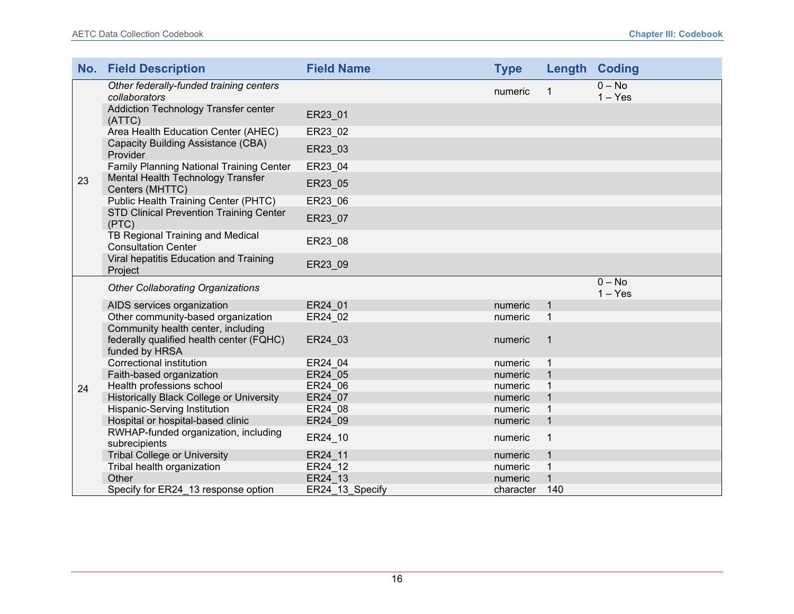|    | <b>No. Field Description</b>                                                                     | <b>Field Name</b> | <b>Type</b> |              | <b>Length Coding</b>  |
|----|--------------------------------------------------------------------------------------------------|-------------------|-------------|--------------|-----------------------|
|    | Other federally-funded training centers<br>collaborators                                         |                   | numeric     | 1            | $0 - No$<br>$1 - Yes$ |
|    | Addiction Technology Transfer center<br>(ATTC)                                                   | ER23_01           |             |              |                       |
|    | Area Health Education Center (AHEC)                                                              | ER23_02           |             |              |                       |
|    | Capacity Building Assistance (CBA)<br>Provider                                                   | ER23_03           |             |              |                       |
|    | Family Planning National Training Center                                                         | ER23_04           |             |              |                       |
| 23 | Mental Health Technology Transfer<br>Centers (MHTTC)                                             | ER23_05           |             |              |                       |
|    | Public Health Training Center (PHTC)                                                             | ER23_06           |             |              |                       |
|    | STD Clinical Prevention Training Center<br>(PTC)                                                 | ER23 07           |             |              |                       |
|    | TB Regional Training and Medical<br><b>Consultation Center</b>                                   | ER23_08           |             |              |                       |
|    | Viral hepatitis Education and Training<br>Project                                                | ER23_09           |             |              |                       |
|    | <b>Other Collaborating Organizations</b>                                                         |                   |             |              | $0 - No$<br>$1 - Yes$ |
|    | AIDS services organization                                                                       | ER24 01           | numeric     | 1            |                       |
|    | Other community-based organization                                                               | ER24_02           | numeric     | $\mathbf{1}$ |                       |
|    | Community health center, including<br>federally qualified health center (FQHC)<br>funded by HRSA | ER24_03           | numeric     | $\mathbf{1}$ |                       |
|    | <b>Correctional institution</b>                                                                  | ER24 04           | numeric     | 1            |                       |
|    | Faith-based organization                                                                         | ER24 05           | numeric     |              |                       |
| 24 | Health professions school                                                                        | ER24 06           | numeric     |              |                       |
|    | <b>Historically Black College or University</b>                                                  | ER24 07           | numeric     |              |                       |
|    | <b>Hispanic-Serving Institution</b>                                                              | ER24 08           | numeric     |              |                       |
|    | Hospital or hospital-based clinic                                                                | ER24 09           | numeric     | $\mathbf{1}$ |                       |
|    | RWHAP-funded organization, including<br>subrecipients                                            | ER24_10           | numeric     | 1            |                       |
|    | <b>Tribal College or University</b>                                                              | ER24 11           | numeric     |              |                       |
|    | Tribal health organization                                                                       | ER24 12           | numeric     |              |                       |
|    | Other                                                                                            | ER24 13           | numeric     |              |                       |
|    | Specify for ER24 13 response option                                                              | ER24 13 Specify   | character   | 140          |                       |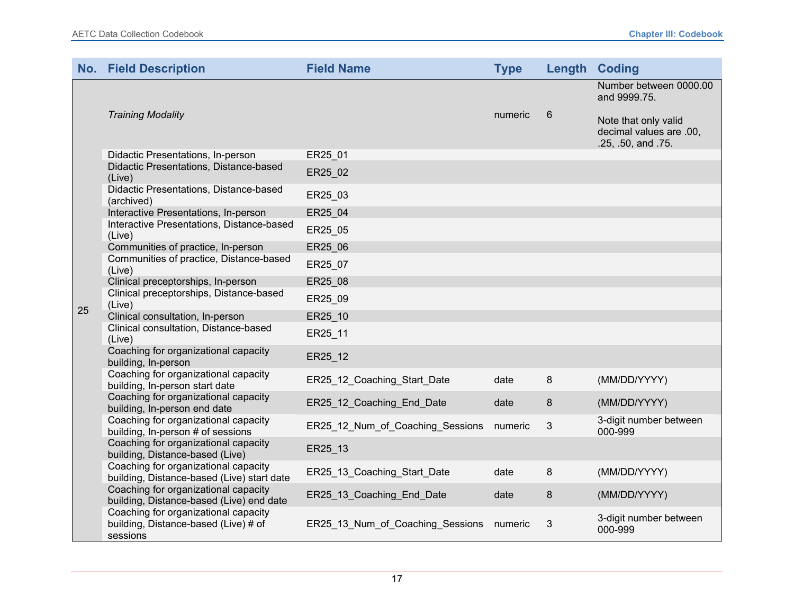|    | <b>No. Field Description</b>                                                             | <b>Field Name</b>                | <b>Type</b> |   | <b>Length Coding</b>                                                                                            |
|----|------------------------------------------------------------------------------------------|----------------------------------|-------------|---|-----------------------------------------------------------------------------------------------------------------|
|    | <b>Training Modality</b>                                                                 |                                  | numeric     | 6 | Number between 0000.00<br>and 9999.75.<br>Note that only valid<br>decimal values are .00,<br>.25, .50, and .75. |
|    | Didactic Presentations, In-person                                                        | ER25_01                          |             |   |                                                                                                                 |
|    | Didactic Presentations, Distance-based<br>(Live)                                         | ER25 02                          |             |   |                                                                                                                 |
|    | Didactic Presentations, Distance-based<br>(archived)                                     | ER25_03                          |             |   |                                                                                                                 |
|    | Interactive Presentations, In-person                                                     | ER25 04                          |             |   |                                                                                                                 |
|    | Interactive Presentations, Distance-based<br>(Live)                                      | ER25_05                          |             |   |                                                                                                                 |
|    | Communities of practice, In-person                                                       | ER25 06                          |             |   |                                                                                                                 |
|    | Communities of practice, Distance-based<br>(Live)                                        | ER25_07                          |             |   |                                                                                                                 |
|    | Clinical preceptorships, In-person                                                       | ER25 08                          |             |   |                                                                                                                 |
| 25 | Clinical preceptorships, Distance-based<br>(Live)                                        | ER25 09                          |             |   |                                                                                                                 |
|    | Clinical consultation, In-person                                                         | ER25 10                          |             |   |                                                                                                                 |
|    | Clinical consultation, Distance-based<br>(Live)                                          | ER25_11                          |             |   |                                                                                                                 |
|    | Coaching for organizational capacity<br>building, In-person                              | ER25_12                          |             |   |                                                                                                                 |
|    | Coaching for organizational capacity<br>building, In-person start date                   | ER25_12_Coaching_Start_Date      | date        | 8 | (MM/DD/YYYY)                                                                                                    |
|    | Coaching for organizational capacity<br>building, In-person end date                     | ER25 12 Coaching End Date        | date        | 8 | (MM/DD/YYYY)                                                                                                    |
|    | Coaching for organizational capacity<br>building, In-person # of sessions                | ER25 12 Num of Coaching Sessions | numeric     | 3 | 3-digit number between<br>000-999                                                                               |
|    | Coaching for organizational capacity<br>building, Distance-based (Live)                  | ER25_13                          |             |   |                                                                                                                 |
|    | Coaching for organizational capacity<br>building, Distance-based (Live) start date       | ER25_13_Coaching_Start_Date      | date        | 8 | (MM/DD/YYYY)                                                                                                    |
|    | Coaching for organizational capacity<br>building, Distance-based (Live) end date         | ER25_13_Coaching_End_Date        | date        | 8 | (MM/DD/YYYY)                                                                                                    |
|    | Coaching for organizational capacity<br>building, Distance-based (Live) # of<br>sessions | ER25_13_Num_of_Coaching_Sessions | numeric     | 3 | 3-digit number between<br>000-999                                                                               |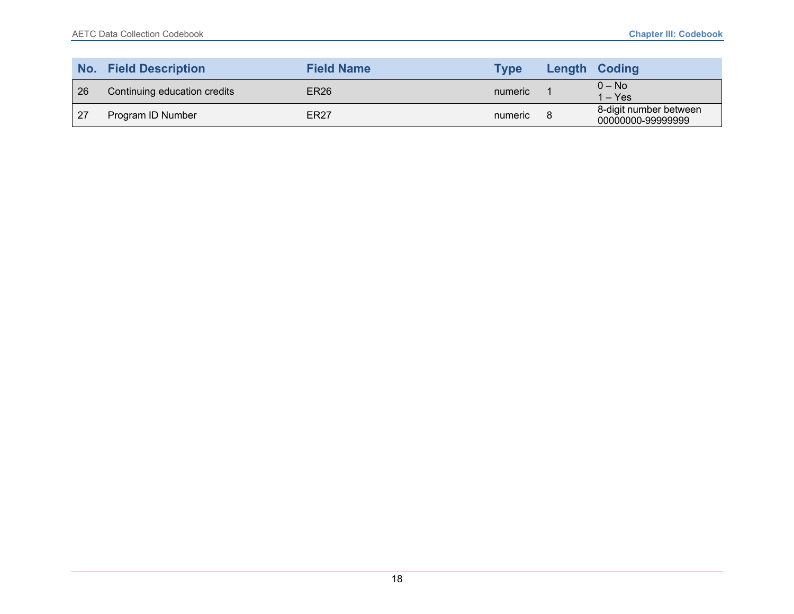| No. | <b>Field Description</b>     | <b>Field Name</b> | <b>Type</b> | <b>Length Coding</b>                        |
|-----|------------------------------|-------------------|-------------|---------------------------------------------|
| 26  | Continuing education credits | <b>ER26</b>       | numeric     | $0 - No$<br>1 – Yes                         |
| 27  | Program ID Number            | ER <sub>27</sub>  | numeric     | 8-digit number between<br>00000000-99999999 |